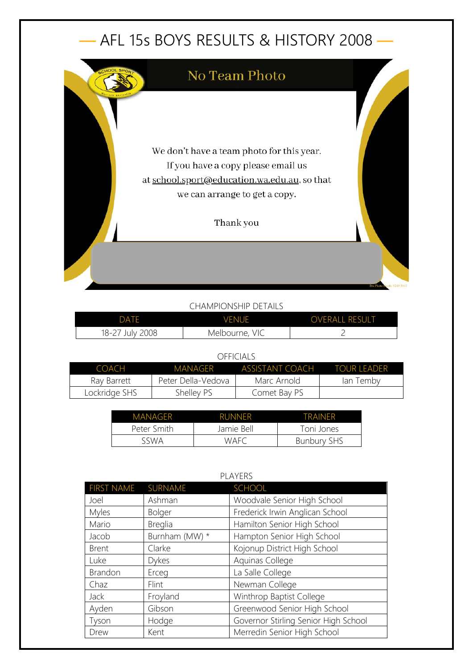## — AFL 15s BOYS RESULTS & HISTORY 2008 —



## CHAMPIONSHIP DETAILS

| <b>DATE</b>     | <b>VENUE</b>   | <b>OVERALL RESULT</b> |
|-----------------|----------------|-----------------------|
| 18-27 July 2008 | Melbourne, VIC |                       |

## OFFICIALS

| COACH         | MANAGER              | <b>ASSISTANT COACH</b> | TOUR LEADER |
|---------------|----------------------|------------------------|-------------|
| Ray Barrett   | - Peter Della-Vedova | Marc Arnold            | lan Temby   |
| Lockridge SHS | Shelley PS           | Comet Bay PS           |             |

| <b>MANAGER</b> | <b>RUNNER</b> | TRAINFR            |
|----------------|---------------|--------------------|
| Peter Smith    | Jamie Bell    | Toni Jones         |
| sswa           | WAFC          | <b>Bunbury SHS</b> |

| <b>FLAILNJ</b>    |                |                                      |
|-------------------|----------------|--------------------------------------|
| <b>FIRST NAME</b> | SURNAME        | <b>SCHOOL</b>                        |
| Joel              | Ashman         | Woodvale Senior High School          |
| Myles             | Bolger         | Frederick Irwin Anglican School      |
| Mario             | <b>Breglia</b> | Hamilton Senior High School          |
| Jacob             | Burnham (MW) * | Hampton Senior High School           |
| <b>Brent</b>      | Clarke         | Kojonup District High School         |
| Luke              | <b>Dykes</b>   | Aquinas College                      |
| Brandon           | Erceg          | La Salle College                     |
| Chaz              | Flint          | Newman College                       |
| Jack              | Froyland       | Winthrop Baptist College             |
| Ayden             | Gibson         | Greenwood Senior High School         |
| Tyson             | Hodge          | Governor Stirling Senior High School |
| Drew              | Kent           | Merredin Senior High School          |

## PLAYERS